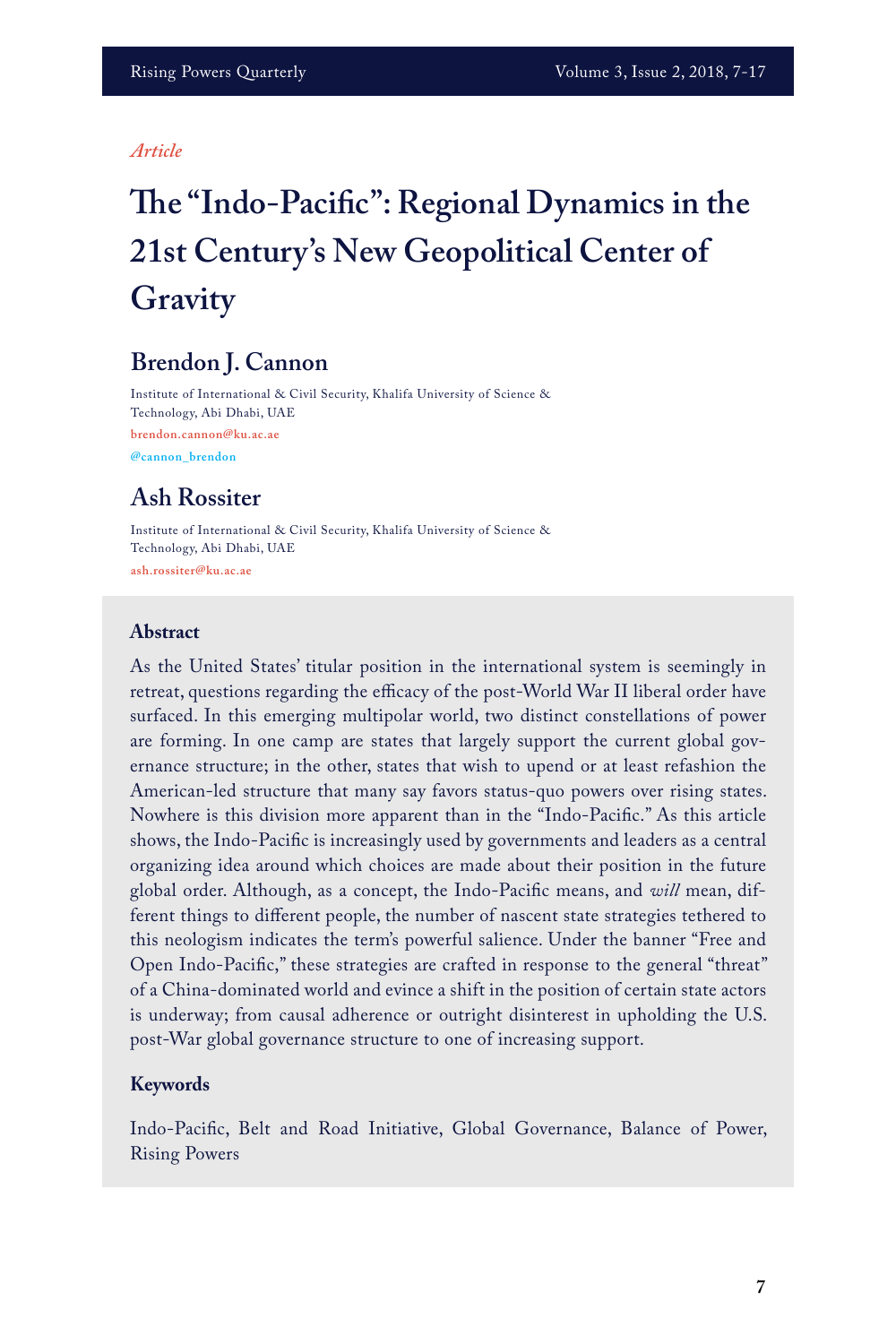#### *Article*

# **The "Indo-Pacific": Regional Dynamics in the 21st Century's New Geopolitical Center of Gravity**

# **Brendon J. Cannon**

Institute of International & Civil Security, Khalifa University of Science & Technology, Abi Dhabi, UAE **brendon.cannon@ku.ac.ae @cannon\_brendon** 

## **Ash Rossiter**

Institute of International & Civil Security, Khalifa University of Science & Technology, Abi Dhabi, UAE **ash.rossiter@ku.ac.ae**

#### **Abstract**

As the United States' titular position in the international system is seemingly in retreat, questions regarding the efficacy of the post-World War II liberal order have surfaced. In this emerging multipolar world, two distinct constellations of power are forming. In one camp are states that largely support the current global governance structure; in the other, states that wish to upend or at least refashion the American-led structure that many say favors status-quo powers over rising states. Nowhere is this division more apparent than in the "Indo-Pacific." As this article shows, the Indo-Pacific is increasingly used by governments and leaders as a central organizing idea around which choices are made about their position in the future global order. Although, as a concept, the Indo-Pacific means, and *will* mean, different things to different people, the number of nascent state strategies tethered to this neologism indicates the term's powerful salience. Under the banner "Free and Open Indo-Pacific," these strategies are crafted in response to the general "threat" of a China-dominated world and evince a shift in the position of certain state actors is underway; from causal adherence or outright disinterest in upholding the U.S. post-War global governance structure to one of increasing support.

#### **Keywords**

Indo-Pacific, Belt and Road Initiative, Global Governance, Balance of Power, Rising Powers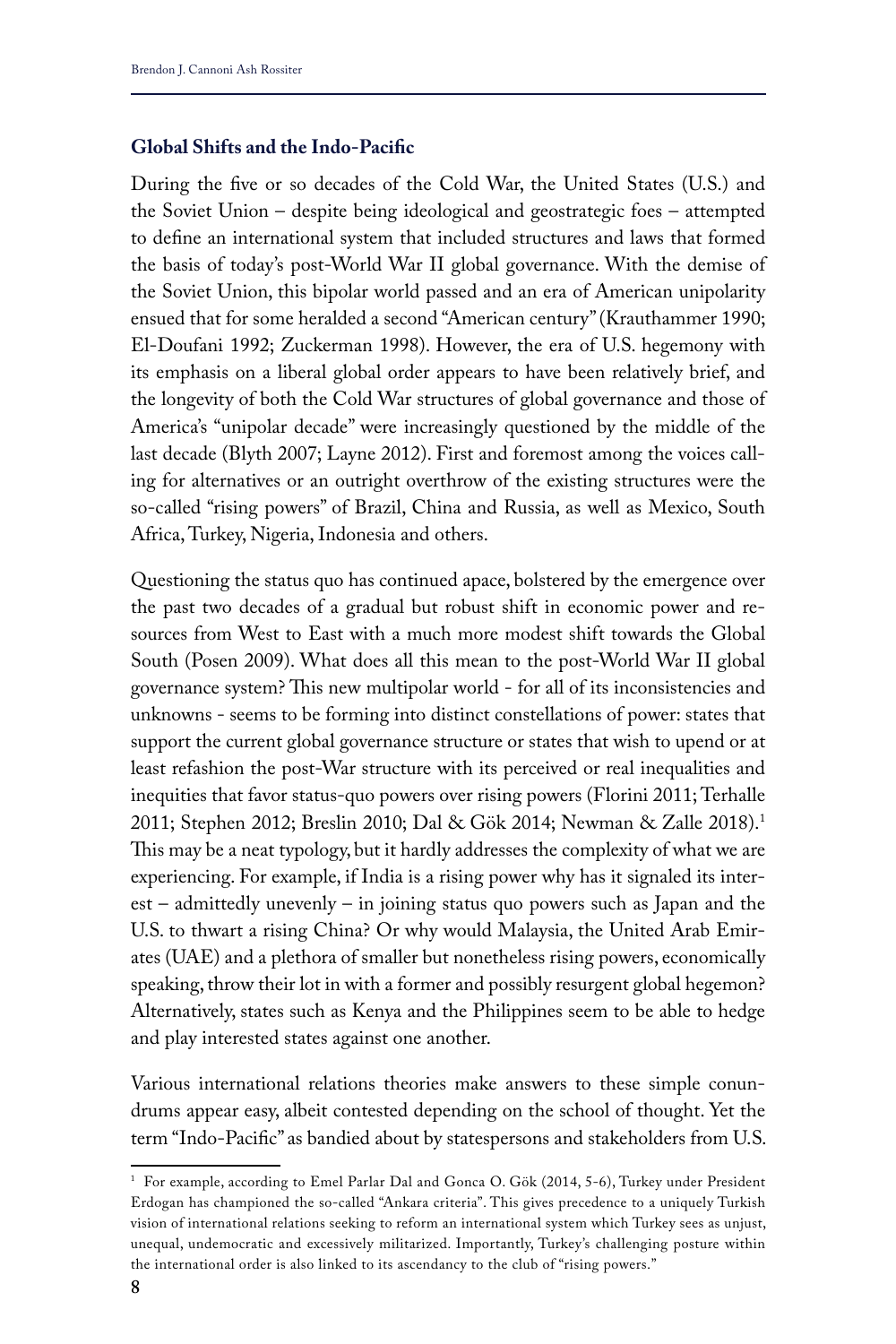#### **Global Shifts and the Indo-Pacific**

During the five or so decades of the Cold War, the United States (U.S.) and the Soviet Union – despite being ideological and geostrategic foes – attempted to define an international system that included structures and laws that formed the basis of today's post-World War II global governance. With the demise of the Soviet Union, this bipolar world passed and an era of American unipolarity ensued that for some heralded a second "American century" (Krauthammer 1990; El‐Doufani 1992; Zuckerman 1998). However, the era of U.S. hegemony with its emphasis on a liberal global order appears to have been relatively brief, and the longevity of both the Cold War structures of global governance and those of America's "unipolar decade" were increasingly questioned by the middle of the last decade (Blyth 2007; Layne 2012). First and foremost among the voices calling for alternatives or an outright overthrow of the existing structures were the so-called "rising powers" of Brazil, China and Russia, as well as Mexico, South Africa, Turkey, Nigeria, Indonesia and others.

Questioning the status quo has continued apace, bolstered by the emergence over the past two decades of a gradual but robust shift in economic power and resources from West to East with a much more modest shift towards the Global South (Posen 2009). What does all this mean to the post-World War II global governance system? This new multipolar world - for all of its inconsistencies and unknowns - seems to be forming into distinct constellations of power: states that support the current global governance structure or states that wish to upend or at least refashion the post-War structure with its perceived or real inequalities and inequities that favor status-quo powers over rising powers (Florini 2011; Terhalle 2011; Stephen 2012; Breslin 2010; Dal & Gök 2014; Newman & Zalle 2018).1 This may be a neat typology, but it hardly addresses the complexity of what we are experiencing. For example, if India is a rising power why has it signaled its interest – admittedly unevenly – in joining status quo powers such as Japan and the U.S. to thwart a rising China? Or why would Malaysia, the United Arab Emirates (UAE) and a plethora of smaller but nonetheless rising powers, economically speaking, throw their lot in with a former and possibly resurgent global hegemon? Alternatively, states such as Kenya and the Philippines seem to be able to hedge and play interested states against one another.

Various international relations theories make answers to these simple conundrums appear easy, albeit contested depending on the school of thought. Yet the term "Indo-Pacific" as bandied about by statespersons and stakeholders from U.S.

<sup>1</sup> For example, according to Emel Parlar Dal and Gonca O. Gök (2014, 5-6), Turkey under President Erdogan has championed the so-called "Ankara criteria". This gives precedence to a uniquely Turkish vision of international relations seeking to reform an international system which Turkey sees as unjust, unequal, undemocratic and excessively militarized. Importantly, Turkey's challenging posture within the international order is also linked to its ascendancy to the club of "rising powers."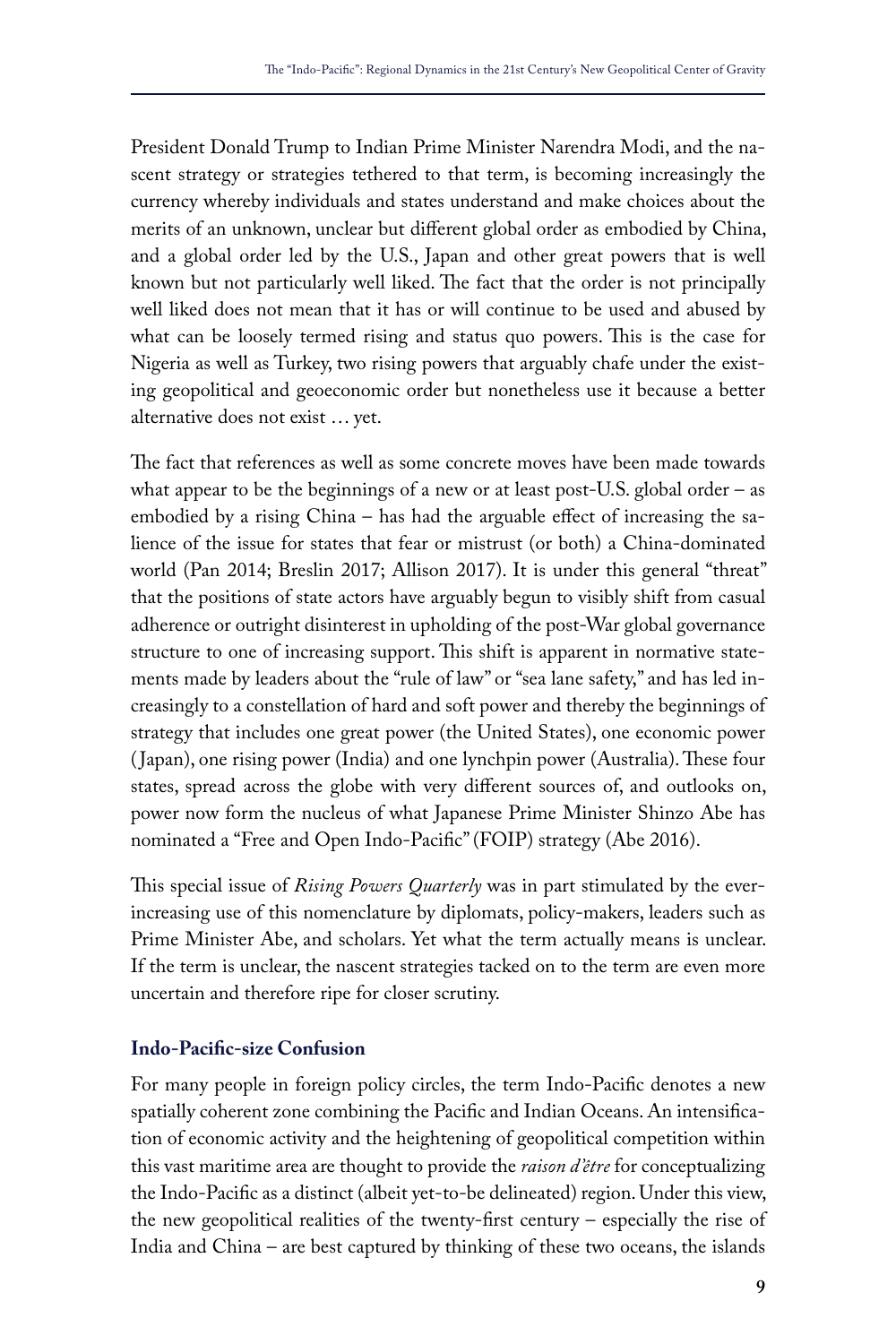President Donald Trump to Indian Prime Minister Narendra Modi, and the nascent strategy or strategies tethered to that term, is becoming increasingly the currency whereby individuals and states understand and make choices about the merits of an unknown, unclear but different global order as embodied by China, and a global order led by the U.S., Japan and other great powers that is well known but not particularly well liked. The fact that the order is not principally well liked does not mean that it has or will continue to be used and abused by what can be loosely termed rising and status quo powers. This is the case for Nigeria as well as Turkey, two rising powers that arguably chafe under the existing geopolitical and geoeconomic order but nonetheless use it because a better alternative does not exist … yet.

The fact that references as well as some concrete moves have been made towards what appear to be the beginnings of a new or at least post-U.S. global order – as embodied by a rising China – has had the arguable effect of increasing the salience of the issue for states that fear or mistrust (or both) a China-dominated world (Pan 2014; Breslin 2017; Allison 2017). It is under this general "threat" that the positions of state actors have arguably begun to visibly shift from casual adherence or outright disinterest in upholding of the post-War global governance structure to one of increasing support. This shift is apparent in normative statements made by leaders about the "rule of law" or "sea lane safety," and has led increasingly to a constellation of hard and soft power and thereby the beginnings of strategy that includes one great power (the United States), one economic power ( Japan), one rising power (India) and one lynchpin power (Australia). These four states, spread across the globe with very different sources of, and outlooks on, power now form the nucleus of what Japanese Prime Minister Shinzo Abe has nominated a "Free and Open Indo-Pacific" (FOIP) strategy (Abe 2016).

This special issue of *Rising Powers Quarterly* was in part stimulated by the everincreasing use of this nomenclature by diplomats, policy-makers, leaders such as Prime Minister Abe, and scholars. Yet what the term actually means is unclear. If the term is unclear, the nascent strategies tacked on to the term are even more uncertain and therefore ripe for closer scrutiny.

## **Indo-Pacific-size Confusion**

For many people in foreign policy circles, the term Indo-Pacific denotes a new spatially coherent zone combining the Pacific and Indian Oceans. An intensification of economic activity and the heightening of geopolitical competition within this vast maritime area are thought to provide the *raison d'être* for conceptualizing the Indo-Pacific as a distinct (albeit yet-to-be delineated) region. Under this view, the new geopolitical realities of the twenty-first century – especially the rise of India and China – are best captured by thinking of these two oceans, the islands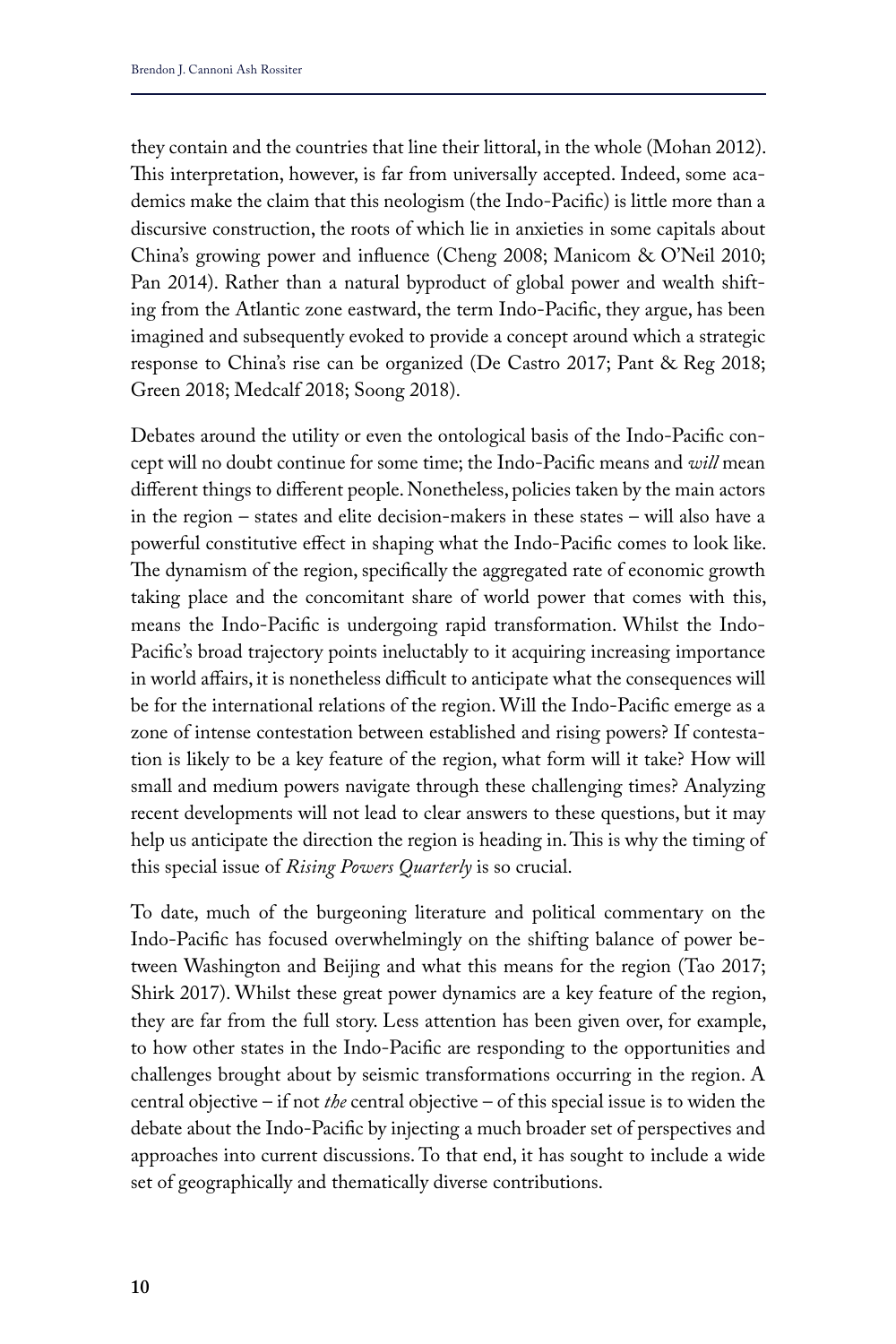they contain and the countries that line their littoral, in the whole (Mohan 2012). This interpretation, however, is far from universally accepted. Indeed, some academics make the claim that this neologism (the Indo-Pacific) is little more than a discursive construction, the roots of which lie in anxieties in some capitals about China's growing power and influence (Cheng 2008; Manicom & O'Neil 2010; Pan 2014). Rather than a natural byproduct of global power and wealth shifting from the Atlantic zone eastward, the term Indo-Pacific, they argue, has been imagined and subsequently evoked to provide a concept around which a strategic response to China's rise can be organized (De Castro 2017; Pant & Reg 2018; Green 2018; Medcalf 2018; Soong 2018).

Debates around the utility or even the ontological basis of the Indo-Pacific concept will no doubt continue for some time; the Indo-Pacific means and *will* mean different things to different people. Nonetheless, policies taken by the main actors in the region – states and elite decision-makers in these states – will also have a powerful constitutive effect in shaping what the Indo-Pacific comes to look like. The dynamism of the region, specifically the aggregated rate of economic growth taking place and the concomitant share of world power that comes with this, means the Indo-Pacific is undergoing rapid transformation. Whilst the Indo-Pacific's broad trajectory points ineluctably to it acquiring increasing importance in world affairs, it is nonetheless difficult to anticipate what the consequences will be for the international relations of the region. Will the Indo-Pacific emerge as a zone of intense contestation between established and rising powers? If contestation is likely to be a key feature of the region, what form will it take? How will small and medium powers navigate through these challenging times? Analyzing recent developments will not lead to clear answers to these questions, but it may help us anticipate the direction the region is heading in. This is why the timing of this special issue of *Rising Powers Quarterly* is so crucial.

To date, much of the burgeoning literature and political commentary on the Indo-Pacific has focused overwhelmingly on the shifting balance of power between Washington and Beijing and what this means for the region (Tao 2017; Shirk 2017). Whilst these great power dynamics are a key feature of the region, they are far from the full story. Less attention has been given over, for example, to how other states in the Indo-Pacific are responding to the opportunities and challenges brought about by seismic transformations occurring in the region. A central objective – if not *the* central objective – of this special issue is to widen the debate about the Indo-Pacific by injecting a much broader set of perspectives and approaches into current discussions. To that end, it has sought to include a wide set of geographically and thematically diverse contributions.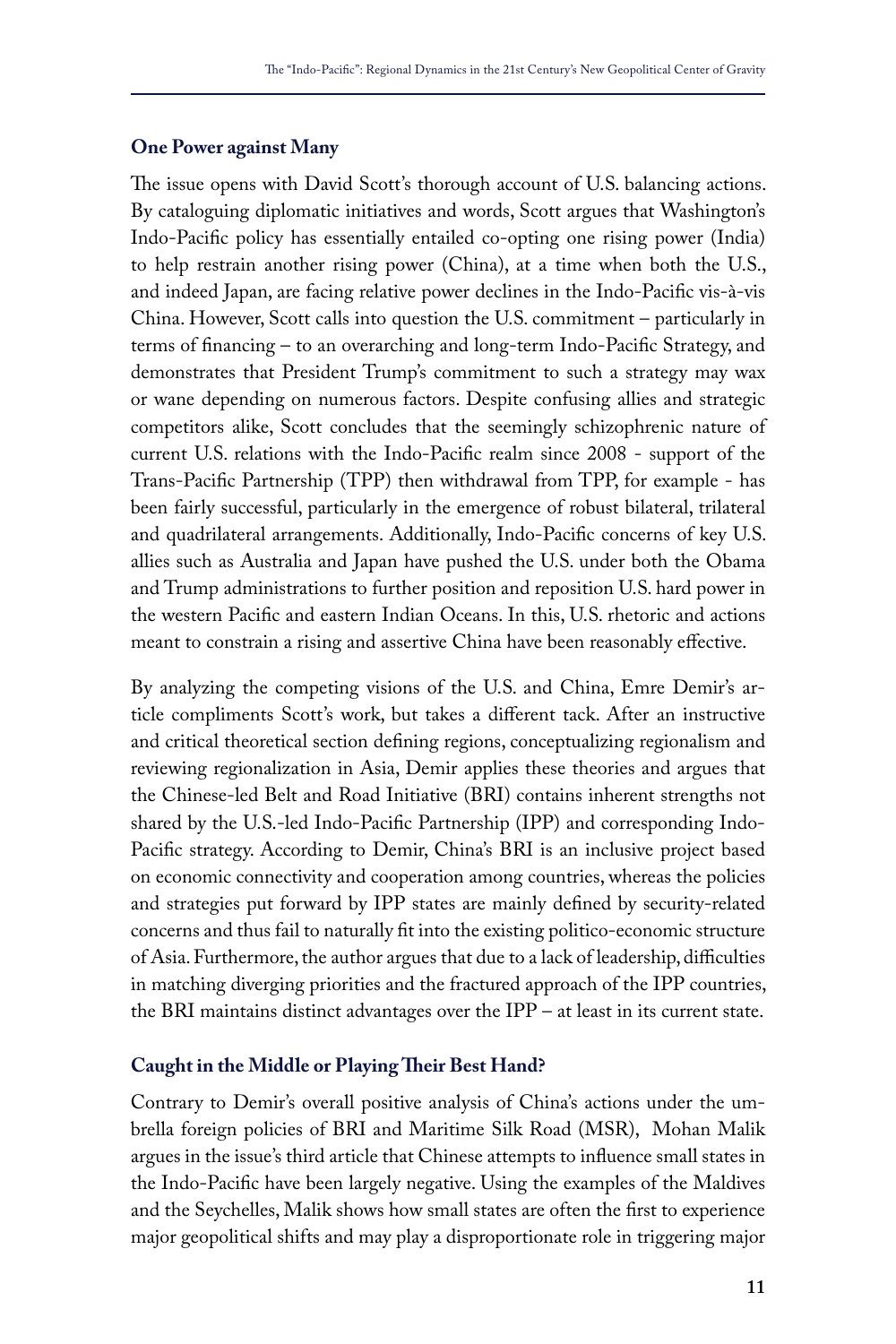#### **One Power against Many**

The issue opens with David Scott's thorough account of U.S. balancing actions. By cataloguing diplomatic initiatives and words, Scott argues that Washington's Indo-Pacific policy has essentially entailed co-opting one rising power (India) to help restrain another rising power (China), at a time when both the U.S., and indeed Japan, are facing relative power declines in the Indo-Pacific vis-à-vis China. However, Scott calls into question the U.S. commitment – particularly in terms of financing – to an overarching and long-term Indo-Pacific Strategy, and demonstrates that President Trump's commitment to such a strategy may wax or wane depending on numerous factors. Despite confusing allies and strategic competitors alike, Scott concludes that the seemingly schizophrenic nature of current U.S. relations with the Indo-Pacific realm since 2008 - support of the Trans-Pacific Partnership (TPP) then withdrawal from TPP, for example - has been fairly successful, particularly in the emergence of robust bilateral, trilateral and quadrilateral arrangements. Additionally, Indo-Pacific concerns of key U.S. allies such as Australia and Japan have pushed the U.S. under both the Obama and Trump administrations to further position and reposition U.S. hard power in the western Pacific and eastern Indian Oceans. In this, U.S. rhetoric and actions meant to constrain a rising and assertive China have been reasonably effective.

By analyzing the competing visions of the U.S. and China, Emre Demir's article compliments Scott's work, but takes a different tack. After an instructive and critical theoretical section defining regions, conceptualizing regionalism and reviewing regionalization in Asia, Demir applies these theories and argues that the Chinese-led Belt and Road Initiative (BRI) contains inherent strengths not shared by the U.S.-led Indo-Pacific Partnership (IPP) and corresponding Indo-Pacific strategy. According to Demir, China's BRI is an inclusive project based on economic connectivity and cooperation among countries, whereas the policies and strategies put forward by IPP states are mainly defined by security-related concerns and thus fail to naturally fit into the existing politico-economic structure of Asia. Furthermore, the author argues that due to a lack of leadership, difficulties in matching diverging priorities and the fractured approach of the IPP countries, the BRI maintains distinct advantages over the IPP – at least in its current state.

#### **Caught in the Middle or Playing Their Best Hand?**

Contrary to Demir's overall positive analysis of China's actions under the umbrella foreign policies of BRI and Maritime Silk Road (MSR), Mohan Malik argues in the issue's third article that Chinese attempts to influence small states in the Indo-Pacific have been largely negative. Using the examples of the Maldives and the Seychelles, Malik shows how small states are often the first to experience major geopolitical shifts and may play a disproportionate role in triggering major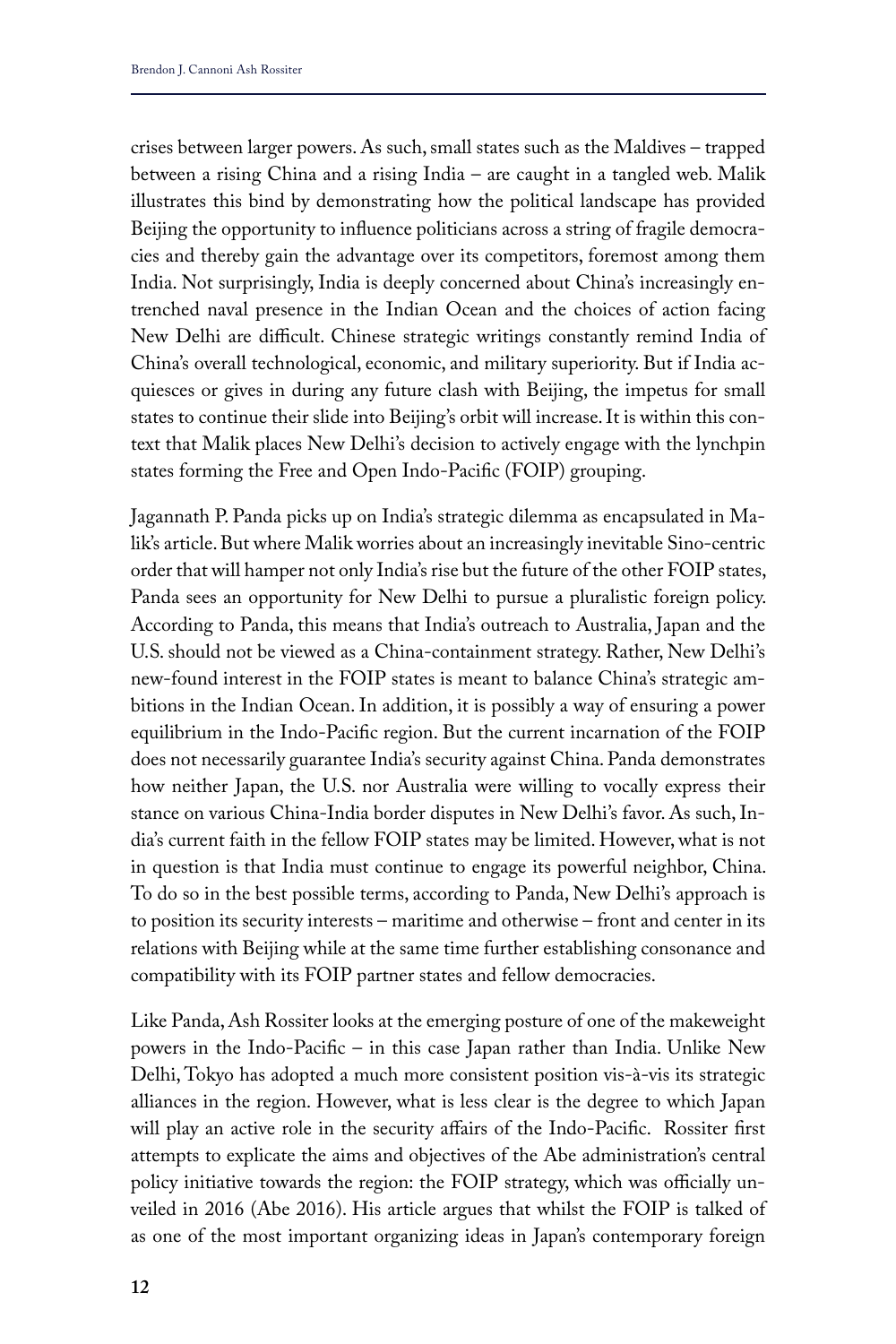crises between larger powers. As such, small states such as the Maldives – trapped between a rising China and a rising India – are caught in a tangled web. Malik illustrates this bind by demonstrating how the political landscape has provided Beijing the opportunity to influence politicians across a string of fragile democracies and thereby gain the advantage over its competitors, foremost among them India. Not surprisingly, India is deeply concerned about China's increasingly entrenched naval presence in the Indian Ocean and the choices of action facing New Delhi are difficult. Chinese strategic writings constantly remind India of China's overall technological, economic, and military superiority. But if India acquiesces or gives in during any future clash with Beijing, the impetus for small states to continue their slide into Beijing's orbit will increase. It is within this context that Malik places New Delhi's decision to actively engage with the lynchpin states forming the Free and Open Indo-Pacific (FOIP) grouping.

Jagannath P. Panda picks up on India's strategic dilemma as encapsulated in Malik's article. But where Malik worries about an increasingly inevitable Sino-centric order that will hamper not only India's rise but the future of the other FOIP states, Panda sees an opportunity for New Delhi to pursue a pluralistic foreign policy. According to Panda, this means that India's outreach to Australia, Japan and the U.S. should not be viewed as a China-containment strategy. Rather, New Delhi's new-found interest in the FOIP states is meant to balance China's strategic ambitions in the Indian Ocean. In addition, it is possibly a way of ensuring a power equilibrium in the Indo-Pacific region. But the current incarnation of the FOIP does not necessarily guarantee India's security against China. Panda demonstrates how neither Japan, the U.S. nor Australia were willing to vocally express their stance on various China-India border disputes in New Delhi's favor. As such, India's current faith in the fellow FOIP states may be limited. However, what is not in question is that India must continue to engage its powerful neighbor, China. To do so in the best possible terms, according to Panda, New Delhi's approach is to position its security interests – maritime and otherwise – front and center in its relations with Beijing while at the same time further establishing consonance and compatibility with its FOIP partner states and fellow democracies.

Like Panda, Ash Rossiter looks at the emerging posture of one of the makeweight powers in the Indo-Pacific – in this case Japan rather than India. Unlike New Delhi, Tokyo has adopted a much more consistent position vis-à-vis its strategic alliances in the region. However, what is less clear is the degree to which Japan will play an active role in the security affairs of the Indo-Pacific. Rossiter first attempts to explicate the aims and objectives of the Abe administration's central policy initiative towards the region: the FOIP strategy, which was officially unveiled in 2016 (Abe 2016). His article argues that whilst the FOIP is talked of as one of the most important organizing ideas in Japan's contemporary foreign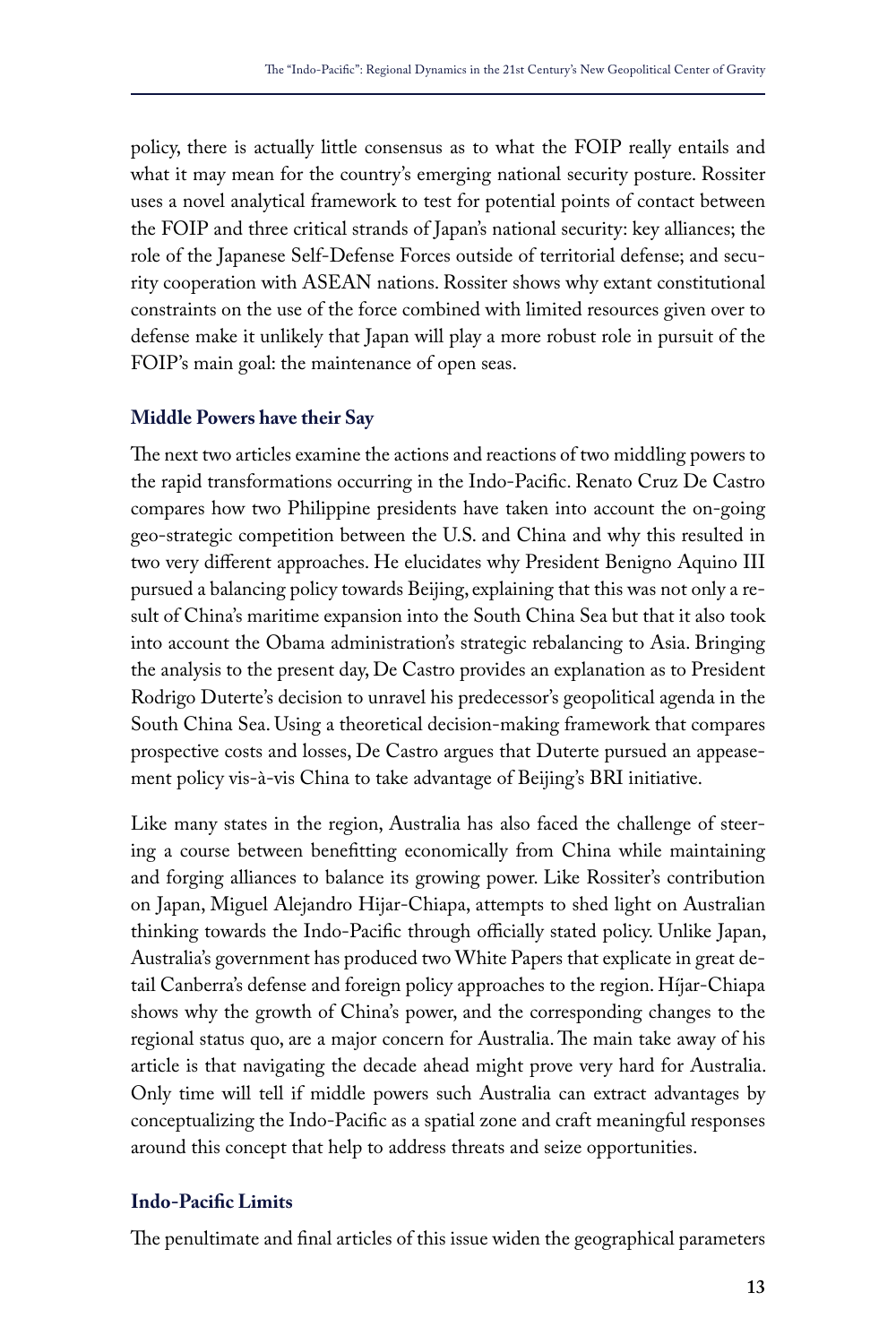policy, there is actually little consensus as to what the FOIP really entails and what it may mean for the country's emerging national security posture. Rossiter uses a novel analytical framework to test for potential points of contact between the FOIP and three critical strands of Japan's national security: key alliances; the role of the Japanese Self-Defense Forces outside of territorial defense; and security cooperation with ASEAN nations. Rossiter shows why extant constitutional constraints on the use of the force combined with limited resources given over to defense make it unlikely that Japan will play a more robust role in pursuit of the FOIP's main goal: the maintenance of open seas.

### **Middle Powers have their Say**

The next two articles examine the actions and reactions of two middling powers to the rapid transformations occurring in the Indo-Pacific. Renato Cruz De Castro compares how two Philippine presidents have taken into account the on-going geo-strategic competition between the U.S. and China and why this resulted in two very different approaches. He elucidates why President Benigno Aquino III pursued a balancing policy towards Beijing, explaining that this was not only a result of China's maritime expansion into the South China Sea but that it also took into account the Obama administration's strategic rebalancing to Asia. Bringing the analysis to the present day, De Castro provides an explanation as to President Rodrigo Duterte's decision to unravel his predecessor's geopolitical agenda in the South China Sea. Using a theoretical decision-making framework that compares prospective costs and losses, De Castro argues that Duterte pursued an appeasement policy vis-à-vis China to take advantage of Beijing's BRI initiative.

Like many states in the region, Australia has also faced the challenge of steering a course between benefitting economically from China while maintaining and forging alliances to balance its growing power. Like Rossiter's contribution on Japan, Miguel Alejandro Hijar-Chiapa, attempts to shed light on Australian thinking towards the Indo-Pacific through officially stated policy. Unlike Japan, Australia's government has produced two White Papers that explicate in great detail Canberra's defense and foreign policy approaches to the region. Híjar-Chiapa shows why the growth of China's power, and the corresponding changes to the regional status quo, are a major concern for Australia. The main take away of his article is that navigating the decade ahead might prove very hard for Australia. Only time will tell if middle powers such Australia can extract advantages by conceptualizing the Indo-Pacific as a spatial zone and craft meaningful responses around this concept that help to address threats and seize opportunities.

#### **Indo-Pacific Limits**

The penultimate and final articles of this issue widen the geographical parameters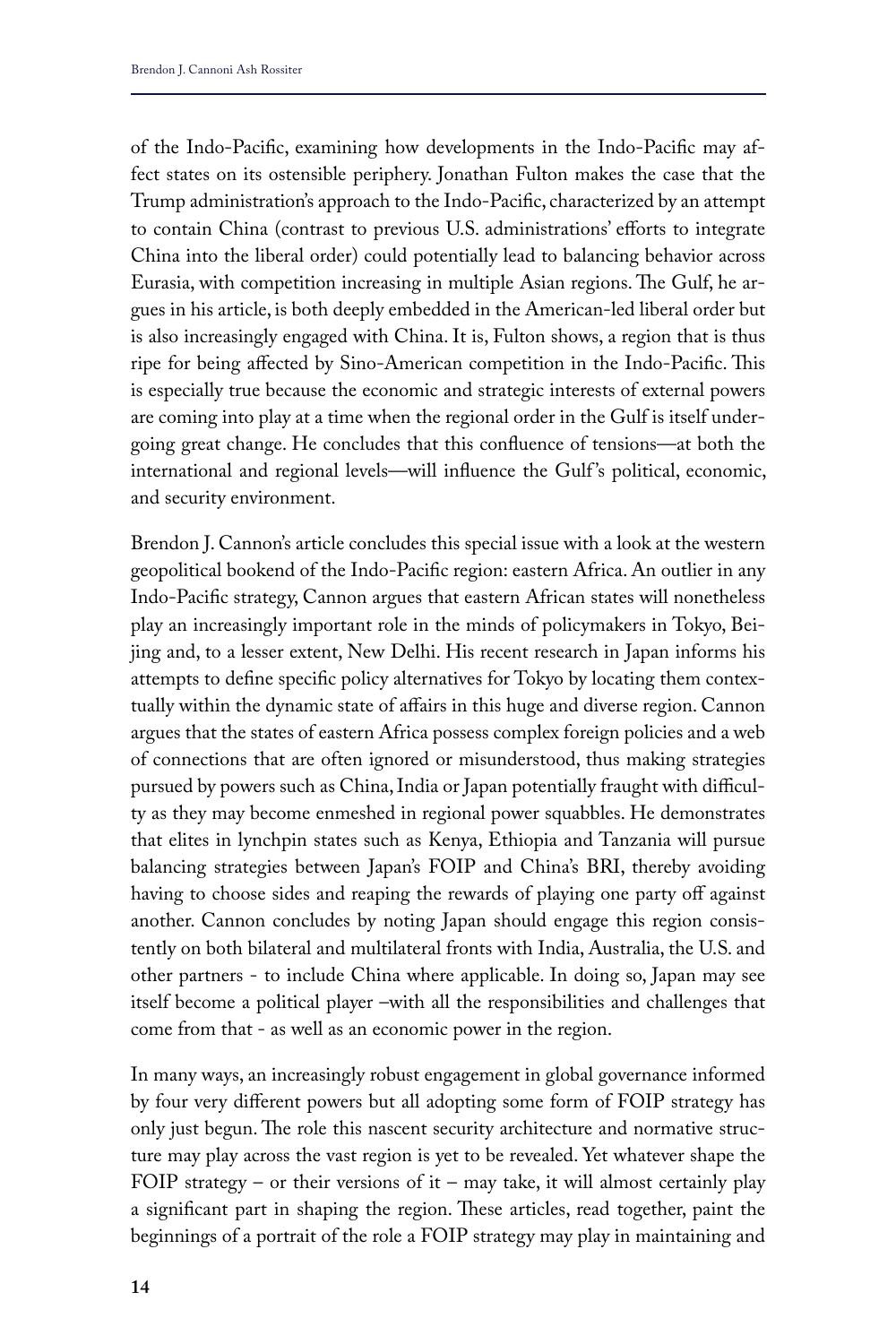of the Indo-Pacific, examining how developments in the Indo-Pacific may affect states on its ostensible periphery. Jonathan Fulton makes the case that the Trump administration's approach to the Indo-Pacific, characterized by an attempt to contain China (contrast to previous U.S. administrations' efforts to integrate China into the liberal order) could potentially lead to balancing behavior across Eurasia, with competition increasing in multiple Asian regions. The Gulf, he argues in his article, is both deeply embedded in the American-led liberal order but is also increasingly engaged with China. It is, Fulton shows, a region that is thus ripe for being affected by Sino-American competition in the Indo-Pacific. This is especially true because the economic and strategic interests of external powers are coming into play at a time when the regional order in the Gulf is itself undergoing great change. He concludes that this confluence of tensions—at both the international and regional levels—will influence the Gulf 's political, economic, and security environment.

Brendon J. Cannon's article concludes this special issue with a look at the western geopolitical bookend of the Indo-Pacific region: eastern Africa. An outlier in any Indo-Pacific strategy, Cannon argues that eastern African states will nonetheless play an increasingly important role in the minds of policymakers in Tokyo, Beijing and, to a lesser extent, New Delhi. His recent research in Japan informs his attempts to define specific policy alternatives for Tokyo by locating them contextually within the dynamic state of affairs in this huge and diverse region. Cannon argues that the states of eastern Africa possess complex foreign policies and a web of connections that are often ignored or misunderstood, thus making strategies pursued by powers such as China, India or Japan potentially fraught with difficulty as they may become enmeshed in regional power squabbles. He demonstrates that elites in lynchpin states such as Kenya, Ethiopia and Tanzania will pursue balancing strategies between Japan's FOIP and China's BRI, thereby avoiding having to choose sides and reaping the rewards of playing one party off against another. Cannon concludes by noting Japan should engage this region consistently on both bilateral and multilateral fronts with India, Australia, the U.S. and other partners - to include China where applicable. In doing so, Japan may see itself become a political player –with all the responsibilities and challenges that come from that - as well as an economic power in the region.

In many ways, an increasingly robust engagement in global governance informed by four very different powers but all adopting some form of FOIP strategy has only just begun. The role this nascent security architecture and normative structure may play across the vast region is yet to be revealed. Yet whatever shape the FOIP strategy – or their versions of it – may take, it will almost certainly play a significant part in shaping the region. These articles, read together, paint the beginnings of a portrait of the role a FOIP strategy may play in maintaining and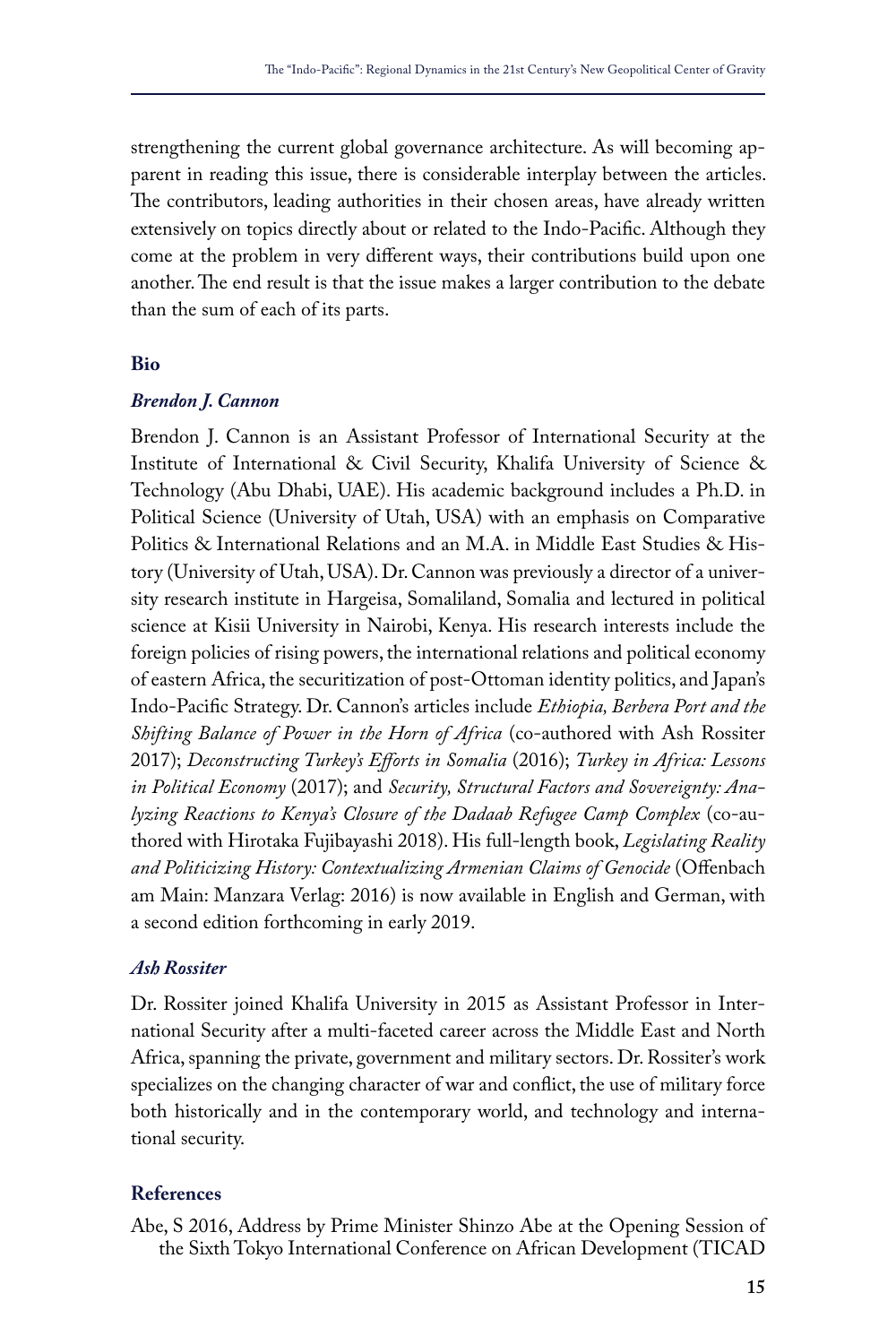strengthening the current global governance architecture. As will becoming apparent in reading this issue, there is considerable interplay between the articles. The contributors, leading authorities in their chosen areas, have already written extensively on topics directly about or related to the Indo-Pacific. Although they come at the problem in very different ways, their contributions build upon one another. The end result is that the issue makes a larger contribution to the debate than the sum of each of its parts.

#### **Bio**

#### *Brendon J. Cannon*

Brendon J. Cannon is an Assistant Professor of International Security at the Institute of International & Civil Security, Khalifa University of Science & Technology (Abu Dhabi, UAE). His academic background includes a Ph.D. in Political Science (University of Utah, USA) with an emphasis on Comparative Politics & International Relations and an M.A. in Middle East Studies & History (University of Utah, USA). Dr. Cannon was previously a director of a university research institute in Hargeisa, Somaliland, Somalia and lectured in political science at Kisii University in Nairobi, Kenya. His research interests include the foreign policies of rising powers, the international relations and political economy of eastern Africa, the securitization of post-Ottoman identity politics, and Japan's Indo-Pacific Strategy. Dr. Cannon's articles include *Ethiopia, Berbera Port and the Shifting Balance of Power in the Horn of Africa* (co-authored with Ash Rossiter 2017); *Deconstructing Turkey's Efforts in Somalia* (2016); *Turkey in Africa: Lessons in Political Economy* (2017); and *Security, Structural Factors and Sovereignty: Analyzing Reactions to Kenya's Closure of the Dadaab Refugee Camp Complex* (co-authored with Hirotaka Fujibayashi 2018). His full-length book, *Legislating Reality and Politicizing History: Contextualizing Armenian Claims of Genocide* (Offenbach am Main: Manzara Verlag: 2016) is now available in English and German, with a second edition forthcoming in early 2019.

#### *Ash Rossiter*

Dr. Rossiter joined Khalifa University in 2015 as Assistant Professor in International Security after a multi-faceted career across the Middle East and North Africa, spanning the private, government and military sectors. Dr. Rossiter's work specializes on the changing character of war and conflict, the use of military force both historically and in the contemporary world, and technology and international security.

#### **References**

Abe, S 2016, Address by Prime Minister Shinzo Abe at the Opening Session of the Sixth Tokyo International Conference on African Development (TICAD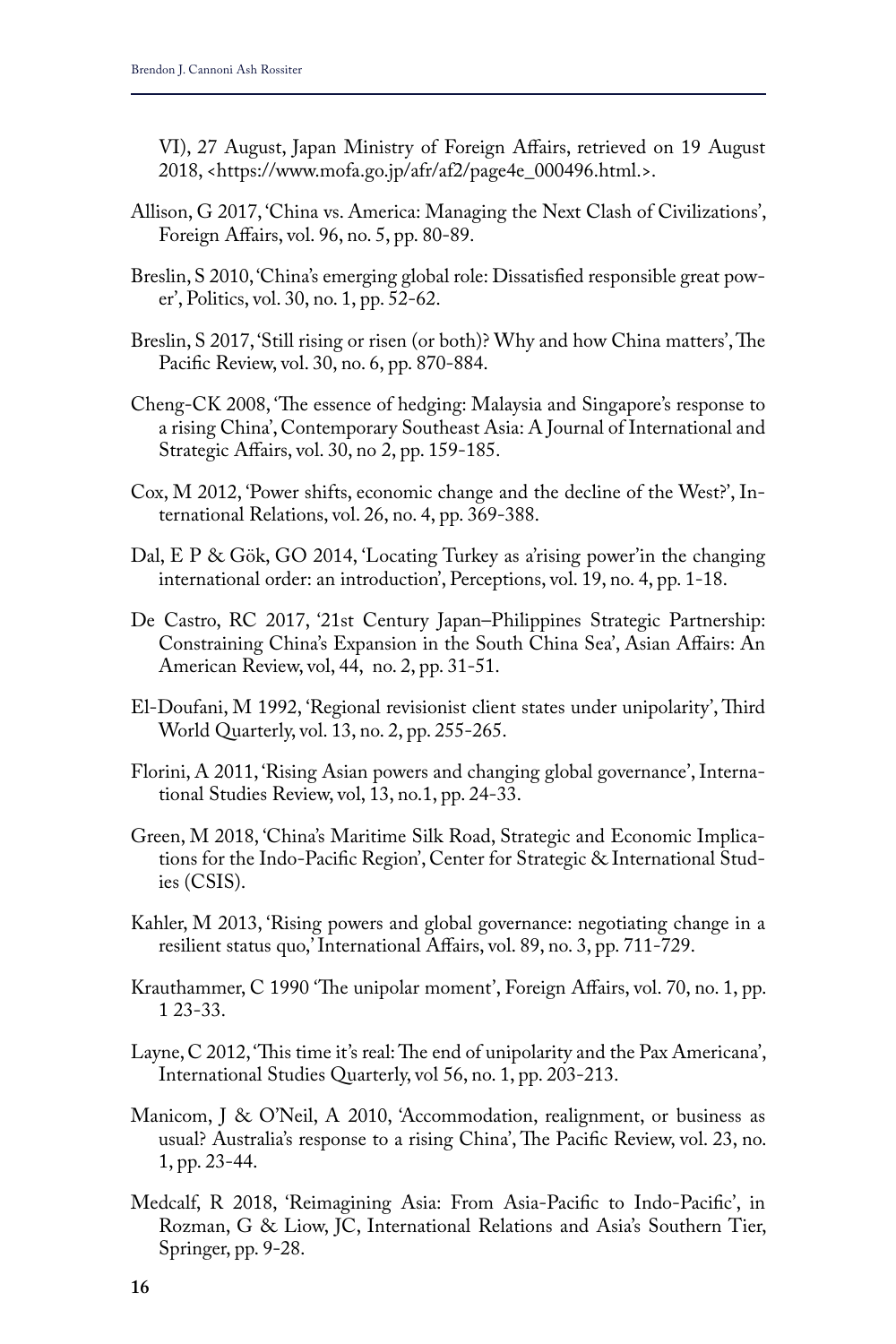VI), 27 August, Japan Ministry of Foreign Affairs, retrieved on 19 August 2018, <https://www.mofa.go.jp/afr/af2/page4e\_000496.html.>.

- Allison, G 2017, 'China vs. America: Managing the Next Clash of Civilizations', Foreign Affairs, vol. 96, no. 5, pp. 80-89.
- Breslin, S 2010, 'China's emerging global role: Dissatisfied responsible great power', Politics, vol. 30, no. 1, pp. 52-62.
- Breslin, S 2017, 'Still rising or risen (or both)? Why and how China matters', The Pacific Review, vol. 30, no. 6, pp. 870-884.
- Cheng-CK 2008, 'The essence of hedging: Malaysia and Singapore's response to a rising China', Contemporary Southeast Asia: A Journal of International and Strategic Affairs, vol. 30, no 2, pp. 159-185.
- Cox, M 2012, 'Power shifts, economic change and the decline of the West?', International Relations, vol. 26, no. 4, pp. 369-388.
- Dal, E P & Gök, GO 2014, 'Locating Turkey as a'rising power'in the changing international order: an introduction', Perceptions, vol. 19, no. 4, pp. 1-18.
- De Castro, RC 2017, '21st Century Japan–Philippines Strategic Partnership: Constraining China's Expansion in the South China Sea', Asian Affairs: An American Review, vol, 44, no. 2, pp. 31-51.
- El‐Doufani, M 1992, 'Regional revisionist client states under unipolarity', Third World Quarterly, vol. 13, no. 2, pp. 255-265.
- Florini, A 2011, 'Rising Asian powers and changing global governance', International Studies Review, vol, 13, no.1, pp. 24-33.
- Green, M 2018, 'China's Maritime Silk Road, Strategic and Economic Implications for the Indo-Pacific Region', Center for Strategic & International Studies (CSIS).
- Kahler, M 2013, 'Rising powers and global governance: negotiating change in a resilient status quo,' International Affairs, vol. 89, no. 3, pp. 711-729.
- Krauthammer, C 1990 'The unipolar moment', Foreign Affairs, vol. 70, no. 1, pp. 1 23-33.
- Layne, C 2012, 'This time it's real: The end of unipolarity and the Pax Americana', International Studies Quarterly, vol 56, no. 1, pp. 203-213.
- Manicom, J & O'Neil, A 2010, 'Accommodation, realignment, or business as usual? Australia's response to a rising China', The Pacific Review, vol. 23, no. 1, pp. 23-44.
- Medcalf, R 2018, 'Reimagining Asia: From Asia-Pacific to Indo-Pacific', in Rozman, G & Liow, JC, International Relations and Asia's Southern Tier, Springer, pp. 9-28.